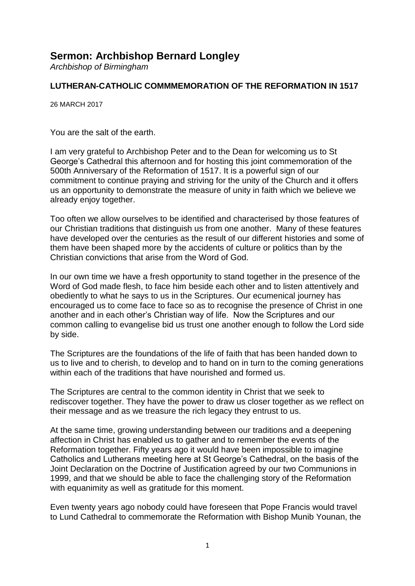## **Sermon: Archbishop Bernard Longley**

*Archbishop of Birmingham*

## **LUTHERAN-CATHOLIC COMMMEMORATION OF THE REFORMATION IN 1517**

26 MARCH 2017

You are the salt of the earth.

I am very grateful to Archbishop Peter and to the Dean for welcoming us to St George's Cathedral this afternoon and for hosting this joint commemoration of the 500th Anniversary of the Reformation of 1517. It is a powerful sign of our commitment to continue praying and striving for the unity of the Church and it offers us an opportunity to demonstrate the measure of unity in faith which we believe we already enjoy together.

Too often we allow ourselves to be identified and characterised by those features of our Christian traditions that distinguish us from one another. Many of these features have developed over the centuries as the result of our different histories and some of them have been shaped more by the accidents of culture or politics than by the Christian convictions that arise from the Word of God.

In our own time we have a fresh opportunity to stand together in the presence of the Word of God made flesh, to face him beside each other and to listen attentively and obediently to what he says to us in the Scriptures. Our ecumenical journey has encouraged us to come face to face so as to recognise the presence of Christ in one another and in each other's Christian way of life. Now the Scriptures and our common calling to evangelise bid us trust one another enough to follow the Lord side by side.

The Scriptures are the foundations of the life of faith that has been handed down to us to live and to cherish, to develop and to hand on in turn to the coming generations within each of the traditions that have nourished and formed us.

The Scriptures are central to the common identity in Christ that we seek to rediscover together. They have the power to draw us closer together as we reflect on their message and as we treasure the rich legacy they entrust to us.

At the same time, growing understanding between our traditions and a deepening affection in Christ has enabled us to gather and to remember the events of the Reformation together. Fifty years ago it would have been impossible to imagine Catholics and Lutherans meeting here at St George's Cathedral, on the basis of the Joint Declaration on the Doctrine of Justification agreed by our two Communions in 1999, and that we should be able to face the challenging story of the Reformation with equanimity as well as gratitude for this moment.

Even twenty years ago nobody could have foreseen that Pope Francis would travel to Lund Cathedral to commemorate the Reformation with Bishop Munib Younan, the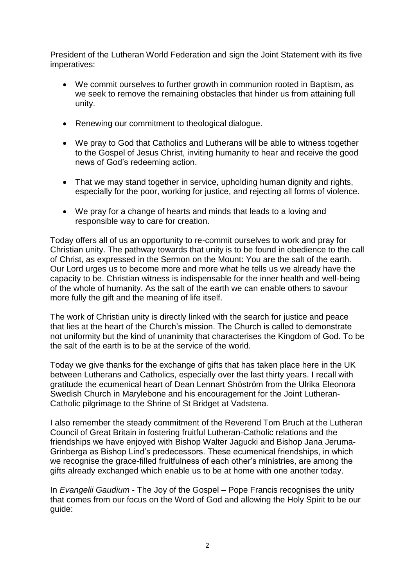President of the Lutheran World Federation and sign the Joint Statement with its five imperatives:

- We commit ourselves to further growth in communion rooted in Baptism, as we seek to remove the remaining obstacles that hinder us from attaining full unity.
- Renewing our commitment to theological dialogue.
- We pray to God that Catholics and Lutherans will be able to witness together to the Gospel of Jesus Christ, inviting humanity to hear and receive the good news of God's redeeming action.
- That we may stand together in service, upholding human dignity and rights, especially for the poor, working for justice, and rejecting all forms of violence.
- We pray for a change of hearts and minds that leads to a loving and responsible way to care for creation.

Today offers all of us an opportunity to re-commit ourselves to work and pray for Christian unity. The pathway towards that unity is to be found in obedience to the call of Christ, as expressed in the Sermon on the Mount: You are the salt of the earth. Our Lord urges us to become more and more what he tells us we already have the capacity to be. Christian witness is indispensable for the inner health and well-being of the whole of humanity. As the salt of the earth we can enable others to savour more fully the gift and the meaning of life itself.

The work of Christian unity is directly linked with the search for justice and peace that lies at the heart of the Church's mission. The Church is called to demonstrate not uniformity but the kind of unanimity that characterises the Kingdom of God. To be the salt of the earth is to be at the service of the world.

Today we give thanks for the exchange of gifts that has taken place here in the UK between Lutherans and Catholics, especially over the last thirty years. I recall with gratitude the ecumenical heart of Dean Lennart Shöström from the Ulrika Eleonora Swedish Church in Marylebone and his encouragement for the Joint Lutheran-Catholic pilgrimage to the Shrine of St Bridget at Vadstena.

I also remember the steady commitment of the Reverend Tom Bruch at the Lutheran Council of Great Britain in fostering fruitful Lutheran-Catholic relations and the friendships we have enjoyed with Bishop Walter Jagucki and Bishop Jana Jeruma-Grinberga as Bishop Lind's predecessors. These ecumenical friendships, in which we recognise the grace-filled fruitfulness of each other's ministries, are among the gifts already exchanged which enable us to be at home with one another today.

In *Evangelii Gaudium* - The Joy of the Gospel – Pope Francis recognises the unity that comes from our focus on the Word of God and allowing the Holy Spirit to be our guide: